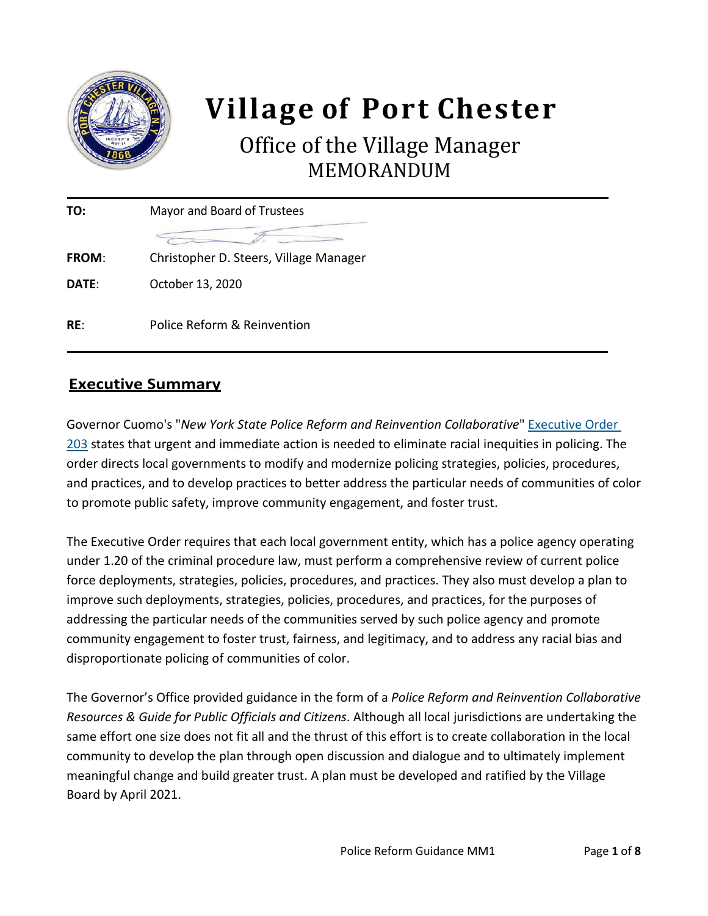

# **Village of Port Chester**

## Office of the Village Manager MEMORANDUM

| TO:          | Mayor and Board of Trustees            |  |  |
|--------------|----------------------------------------|--|--|
|              |                                        |  |  |
| <b>FROM:</b> | Christopher D. Steers, Village Manager |  |  |
| DATE:        | October 13, 2020                       |  |  |
|              |                                        |  |  |
| RE:          | Police Reform & Reinvention            |  |  |

## **Executive Summary**

Governor Cuomo's "*New York State Police Reform and Reinvention Collaborative*" [Executive Order](https://www.governor.ny.gov/news/no-203-new-york-state-police-reform-and-reinvention-collaborative)  [203](https://www.governor.ny.gov/news/no-203-new-york-state-police-reform-and-reinvention-collaborative) states that urgent and immediate action is needed to eliminate racial inequities in policing. The order directs local governments to modify and modernize policing strategies, policies, procedures, and practices, and to develop practices to better address the particular needs of communities of color to promote public safety, improve community engagement, and foster trust.

The Executive Order requires that each local government entity, which has a police agency operating under 1.20 of the criminal procedure law, must perform a comprehensive review of current police force deployments, strategies, policies, procedures, and practices. They also must develop a plan to improve such deployments, strategies, policies, procedures, and practices, for the purposes of addressing the particular needs of the communities served by such police agency and promote community engagement to foster trust, fairness, and legitimacy, and to address any racial bias and disproportionate policing of communities of color.

The Governor's Office provided guidance in the form of a *Police Reform and Reinvention Collaborative Resources & Guide for Public Officials and Citizens*. Although all local jurisdictions are undertaking the same effort one size does not fit all and the thrust of this effort is to create collaboration in the local community to develop the plan through open discussion and dialogue and to ultimately implement meaningful change and build greater trust. A plan must be developed and ratified by the Village Board by April 2021.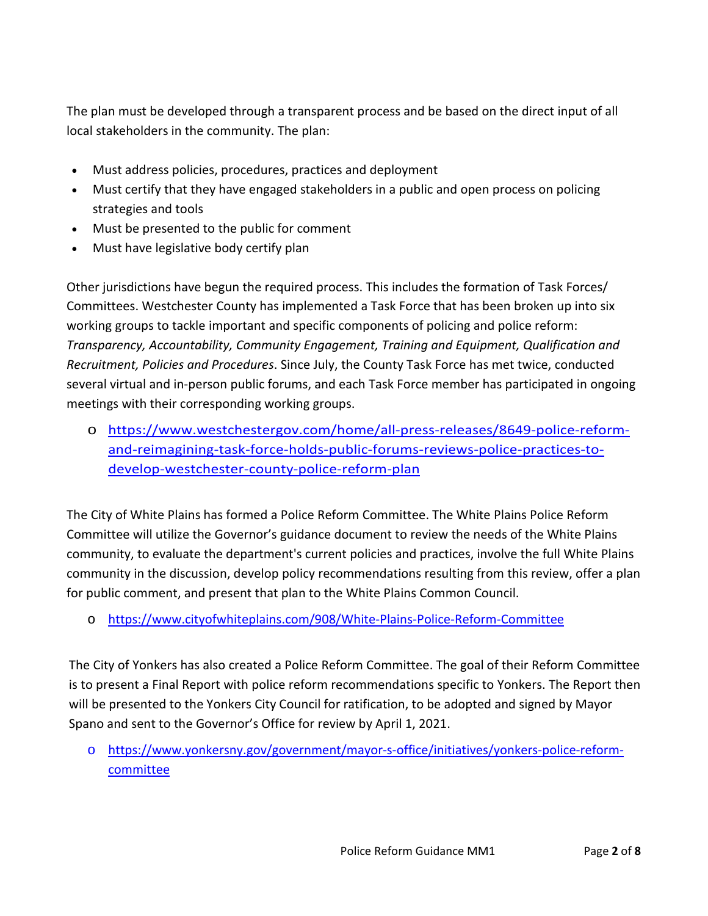The plan must be developed through a transparent process and be based on the direct input of all local stakeholders in the community. The plan:

- Must address policies, procedures, practices and deployment
- Must certify that they have engaged stakeholders in a public and open process on policing strategies and tools
- Must be presented to the public for comment
- Must have legislative body certify plan

Other jurisdictions have begun the required process. This includes the formation of Task Forces/ Committees. Westchester County has implemented a Task Force that has been broken up into six working groups to tackle important and specific components of policing and police reform: *Transparency, Accountability, Community Engagement, Training and Equipment, Qualification and Recruitment, Policies and Procedures*. Since July, the County Task Force has met twice, conducted several virtual and in-person public forums, and each Task Force member has participated in ongoing meetings with their corresponding working groups.

o [https://www.westchestergov.com/home/all-press-releases/8649-police-reform](https://www.westchestergov.com/home/all-press-releases/8649-police-reform-and-reimagining-task-force-holds-public-forums-reviews-police-practices-to-develop-westchester-county-police-reform-plan)[and-reimagining-task-force-holds-public-forums-reviews-police-practices-to](https://www.westchestergov.com/home/all-press-releases/8649-police-reform-and-reimagining-task-force-holds-public-forums-reviews-police-practices-to-develop-westchester-county-police-reform-plan)[develop-westchester-county-police-reform-plan](https://www.westchestergov.com/home/all-press-releases/8649-police-reform-and-reimagining-task-force-holds-public-forums-reviews-police-practices-to-develop-westchester-county-police-reform-plan)

The City of White Plains has formed a Police Reform Committee. The White Plains Police Reform Committee will utilize the Governor's guidance document to review the needs of the White Plains community, to evaluate the department's current policies and practices, involve the full White Plains community in the discussion, develop policy recommendations resulting from this review, offer a plan for public comment, and present that plan to the White Plains Common Council.

o <https://www.cityofwhiteplains.com/908/White-Plains-Police-Reform-Committee>

The City of Yonkers has also created a Police Reform Committee. The goal of their Reform Committee is to present a Final Report with police reform recommendations specific to Yonkers. The Report then will be presented to the Yonkers City Council for ratification, to be adopted and signed by Mayor Spano and sent to the Governor's Office for review by April 1, 2021.

o [https://www.yonkersny.gov/government/mayor-s-office/initiatives/yonkers-police-reform](https://www.yonkersny.gov/government/mayor-s-office/initiatives/yonkers-police-reform-committee)[committee](https://www.yonkersny.gov/government/mayor-s-office/initiatives/yonkers-police-reform-committee)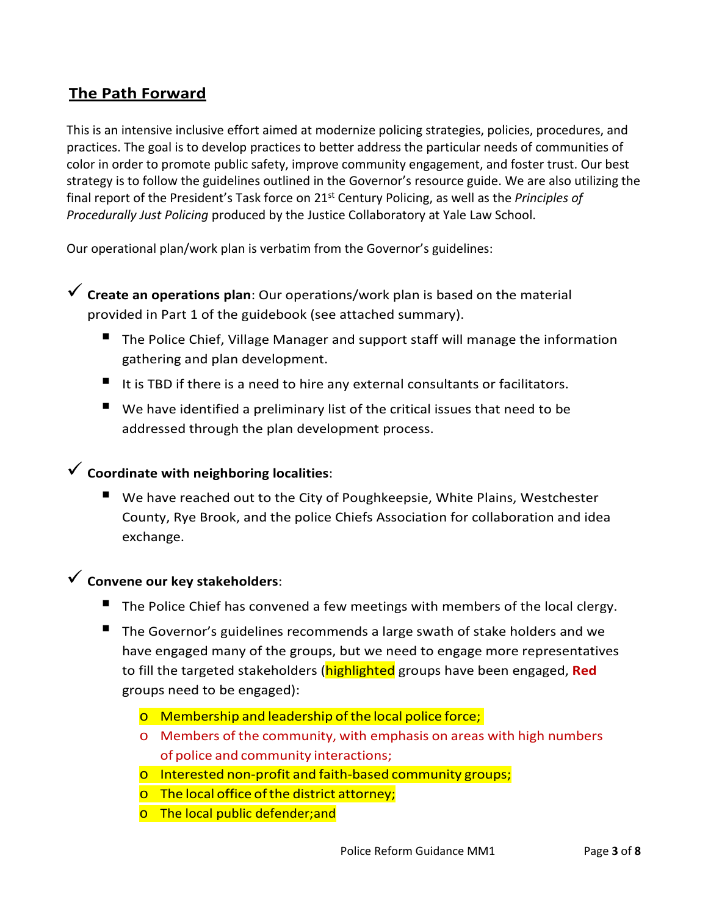## **The Path Forward**

This is an intensive inclusive effort aimed at modernize policing strategies, policies, procedures, and practices. The goal is to develop practices to better address the particular needs of communities of color in order to promote public safety, improve community engagement, and foster trust. Our best strategy is to follow the guidelines outlined in the Governor's resource guide. We are also utilizing the final report of the President's Task force on 21st Century Policing, as well as the *Principles of Procedurally Just Policing* produced by the Justice Collaboratory at Yale Law School.

Our operational plan/work plan is verbatim from the Governor's guidelines:

 **Create an operations plan**: Our operations/work plan is based on the material provided in Part 1 of the guidebook (see attached summary).

- The Police Chief, Village Manager and support staff will manage the information gathering and plan development.
- It is TBD if there is a need to hire any external consultants or facilitators.
- We have identified a preliminary list of the critical issues that need to be addressed through the plan development process.

## **Coordinate with neighboring localities**:

 We have reached out to the City of Poughkeepsie, White Plains, Westchester County, Rye Brook, and the police Chiefs Association for collaboration and idea exchange.

## **Convene our key stakeholders**:

- The Police Chief has convened a few meetings with members of the local clergy.
- The Governor's guidelines recommends a large swath of stake holders and we have engaged many of the groups, but we need to engage more representatives to fill the targeted stakeholders (highlighted groups have been engaged, **Red** groups need to be engaged):
	- o Membership and leadership ofthe local police force;
	- o Members of the community, with emphasis on areas with high numbers of police and community interactions;
	- o Interested non-profit and faith-based community groups;
	- o The local office of the district attorney;
	- o The local public defender; and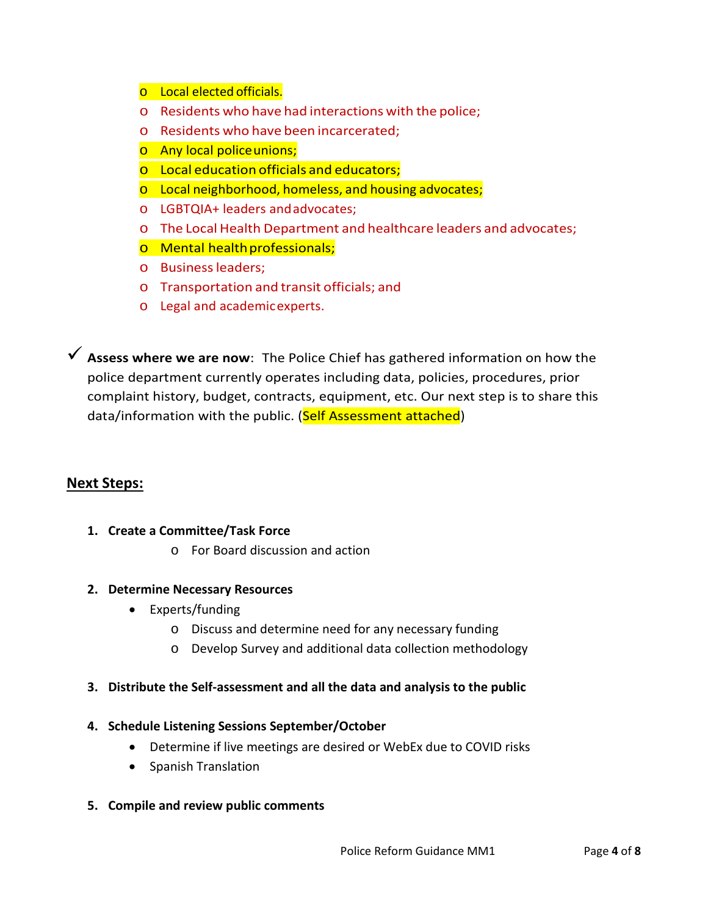- o Local elected officials.
- o Residents who have had interactions with the police;
- o Residents who have been incarcerated;
- o Any local policeunions;
- o Local education officials and educators;
- o Local neighborhood, homeless, and housing advocates;
- o LGBTQIA+ leaders andadvocates;
- o The Local Health Department and healthcare leaders and advocates;
- o Mental healthprofessionals;
- o Businessleaders;
- o Transportation and transit officials; and
- o Legal and academicexperts.

 **Assess where we are now**: The Police Chief has gathered information on how the police department currently operates including data, policies, procedures, prior complaint history, budget, contracts, equipment, etc. Our next step is to share this data/information with the public. (Self Assessment attached)

#### **Next Steps:**

- **1. Create a Committee/Task Force**
	- o For Board discussion and action
- **2. Determine Necessary Resources**
	- Experts/funding
		- o Discuss and determine need for any necessary funding
		- o Develop Survey and additional data collection methodology

#### **3. Distribute the Self-assessment and all the data and analysis to the public**

#### **4. Schedule Listening Sessions September/October**

- Determine if live meetings are desired or WebEx due to COVID risks
- Spanish Translation

#### **5. Compile and review public comments**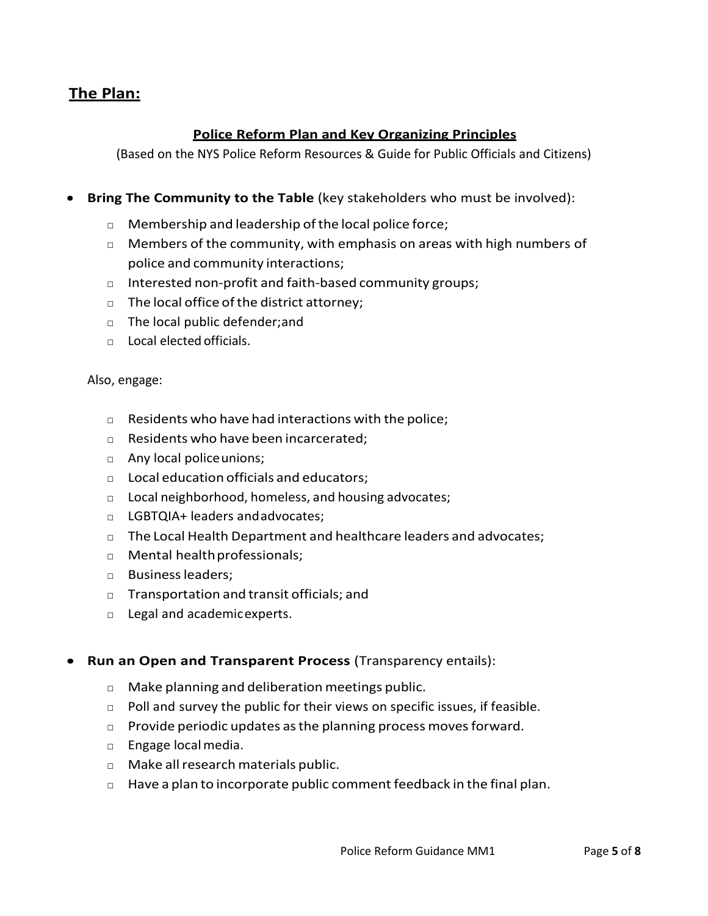### **The Plan:**

#### **Police Reform Plan and Key Organizing Principles**

(Based on the NYS Police Reform Resources & Guide for Public Officials and Citizens)

- **Bring The Community to the Table** (key stakeholders who must be involved):
	- □ Membership and leadership of the local police force;
	- $\Box$  Members of the community, with emphasis on areas with high numbers of police and community interactions;
	- □ Interested non-profit and faith-based community groups;
	- □ The local office of the district attorney;
	- □ The local public defender; and
	- $\Box$  Local elected officials.

#### Also, engage:

- □ Residents who have had interactions with the police;
- □ Residents who have been incarcerated;
- □ Any local police unions;
- □ Local education officials and educators;
- □ Local neighborhood, homeless, and housing advocates;
- □ LGBTQIA+ leaders andadvocates;
- $\Box$  The Local Health Department and healthcare leaders and advocates;
- □ Mental healthprofessionals;
- □ Businessleaders;
- □ Transportation and transit officials; and
- □ Legal and academicexperts.

#### • **Run an Open and Transparent Process** (Transparency entails):

- □ Make planning and deliberation meetings public.
- $\Box$  Poll and survey the public for their views on specific issues, if feasible.
- $\Box$  Provide periodic updates as the planning process moves forward.
- □ Engage localmedia.
- □ Make allresearch materials public.
- $\Box$  Have a plan to incorporate public comment feedback in the final plan.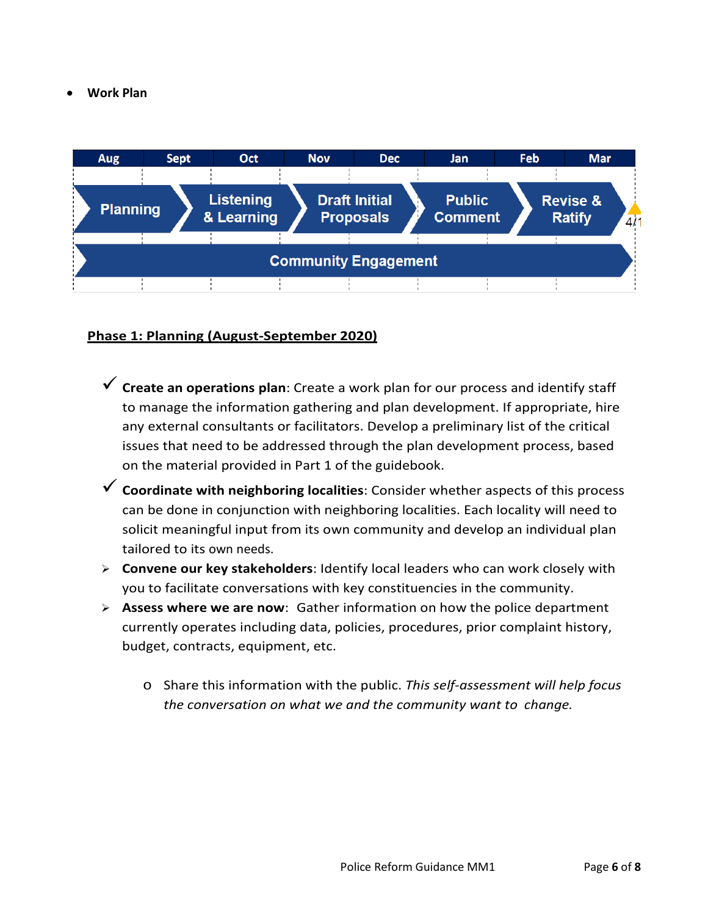• **Work Plan**



#### **Phase 1: Planning (August-September 2020)**

- **Create an operations plan**: Create a work plan for our process and identify staff to manage the information gathering and plan development. If appropriate, hire any external consultants or facilitators. Develop a preliminary list of the critical issues that need to be addressed through the plan development process, based on the material provided in Part 1 of the guidebook.
- **Coordinate with neighboring localities**: Consider whether aspects of this process can be done in conjunction with neighboring localities. Each locality will need to solicit meaningful input from its own community and develop an individual plan tailored to its own needs.
- **Convene our key stakeholders**: Identify local leaders who can work closely with you to facilitate conversations with key constituencies in the community.
- **Assess where we are now**: Gather information on how the police department currently operates including data, policies, procedures, prior complaint history, budget, contracts, equipment, etc.
	- o Share this information with the public. *This self-assessment will help focus the conversation on what we and the community want to change.*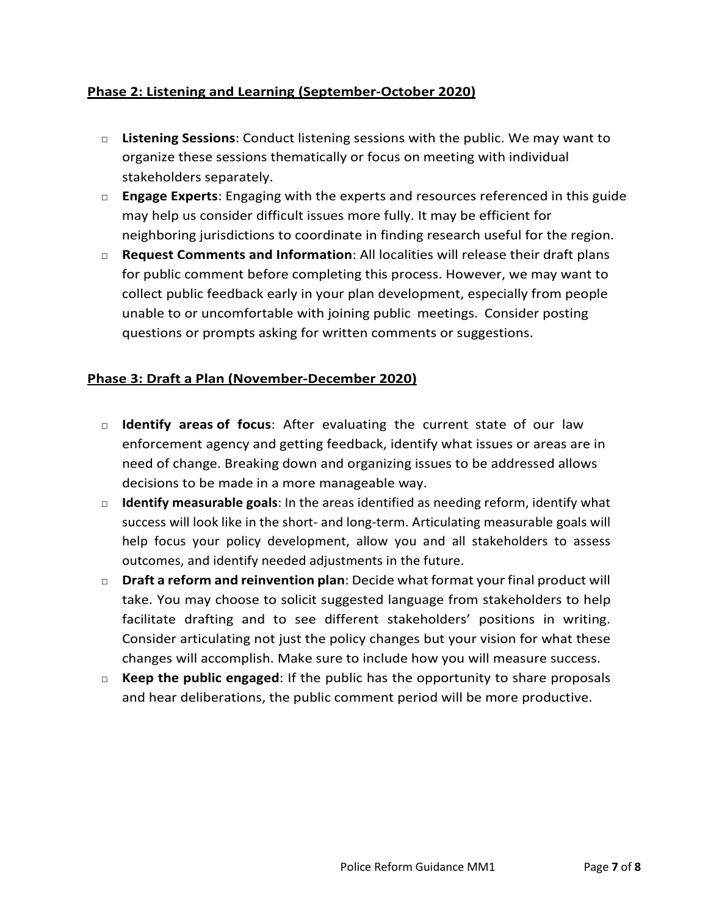#### **Phase 2: Listening and Learning (September-October 2020)**

- □ **Listening Sessions**: Conduct listening sessions with the public. We may want to organize these sessions thematically or focus on meeting with individual stakeholders separately.
- □ **Engage Experts**: Engaging with the experts and resources referenced in this guide may help us consider difficult issues more fully. It may be efficient for neighboring jurisdictions to coordinate in finding research useful for the region.
- □ **Request Comments and Information**: All localities will release their draft plans for public comment before completing this process. However, we may want to collect public feedback early in your plan development, especially from people unable to or uncomfortable with joining public meetings. Consider posting questions or prompts asking for written comments or suggestions.

#### **Phase 3: Draft a Plan (November-December 2020)**

- □ **Identify areas of focus**: After evaluating the current state of our law enforcement agency and getting feedback, identify what issues or areas are in need of change. Breaking down and organizing issues to be addressed allows decisions to be made in a more manageable way.
- □ **Identify measurable goals**: In the areas identified as needing reform, identify what success will look like in the short- and long-term. Articulating measurable goals will help focus your policy development, allow you and all stakeholders to assess outcomes, and identify needed adjustments in the future.
- □ **Draft a reform and reinvention plan**: Decide what format your final product will take. You may choose to solicit suggested language from stakeholders to help facilitate drafting and to see different stakeholders' positions in writing. Consider articulating not just the policy changes but your vision for what these changes will accomplish. Make sure to include how you will measure success.
- □ **Keep the public engaged**: If the public has the opportunity to share proposals and hear deliberations, the public comment period will be more productive.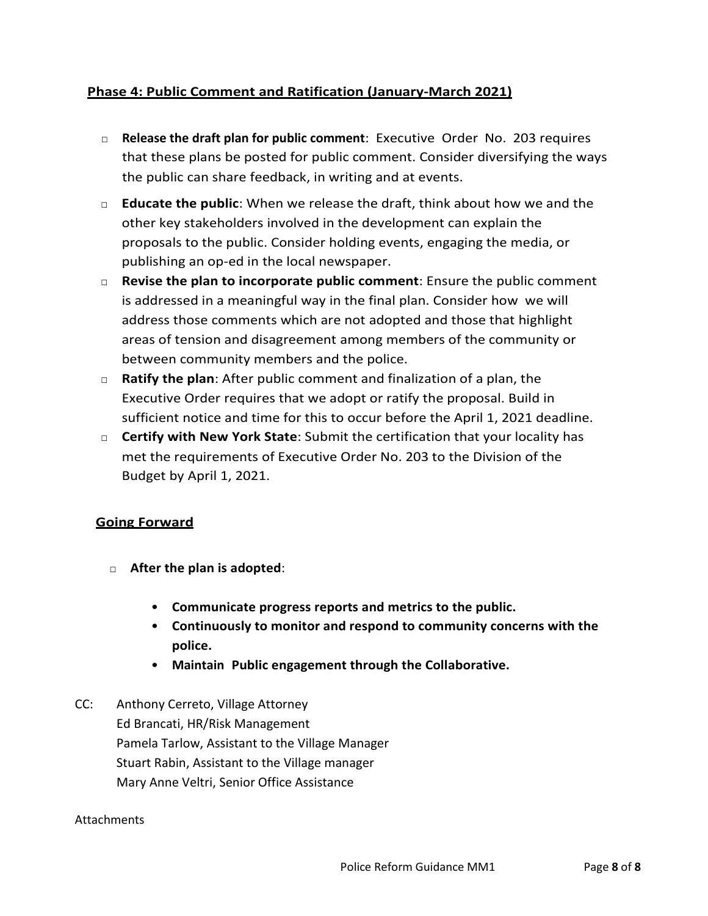#### **Phase 4: Public Comment and Ratification (January-March 2021)**

- □ **Release the draft plan for public comment**: Executive Order No. 203 requires that these plans be posted for public comment. Consider diversifying the ways the public can share feedback, in writing and at events.
- □ **Educate the public**: When we release the draft, think about how we and the other key stakeholders involved in the development can explain the proposals to the public. Consider holding events, engaging the media, or publishing an op-ed in the local newspaper.
- □ **Revise the plan to incorporate public comment**: Ensure the public comment is addressed in a meaningful way in the final plan. Consider how we will address those comments which are not adopted and those that highlight areas of tension and disagreement among members of the community or between community members and the police.
- □ **Ratify the plan**: After public comment and finalization of a plan, the Executive Order requires that we adopt or ratify the proposal. Build in sufficient notice and time for this to occur before the April 1, 2021 deadline.
- □ **Certify with New York State**: Submit the certification that your locality has met the requirements of Executive Order No. 203 to the Division of the Budget by April 1, 2021.

#### **Going Forward**

- □ **After the plan is adopted**:
	- **Communicate progress reports and metrics to the public.**
	- **Continuously to monitor and respond to community concerns with the police.**
	- **Maintain Public engagement through the Collaborative.**
- CC: Anthony Cerreto, Village Attorney Ed Brancati, HR/Risk Management Pamela Tarlow, Assistant to the Village Manager Stuart Rabin, Assistant to the Village manager Mary Anne Veltri, Senior Office Assistance

#### **Attachments**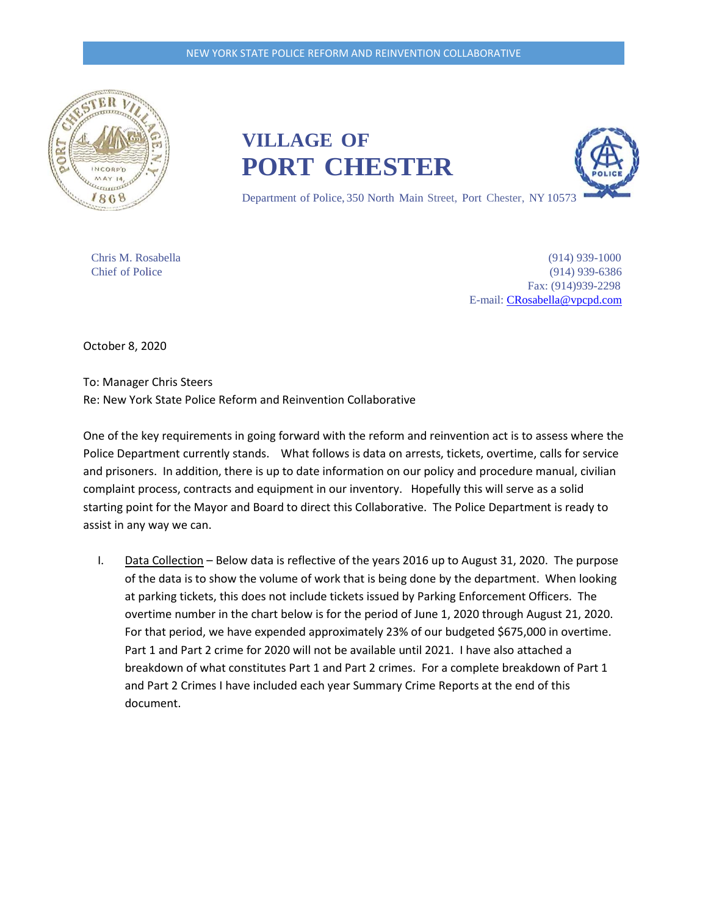

**VILLAGE OF PORT CHESTER**



Department of Police, 350 North Main Street, Port Chester, NY 10573

Chris M. Rosabella (914) 939-1000 Chief of Police (914) 939-6386 Fax: (914)939-2298 E-mail: [CRosabella@vpcpd.com](mailto:CRosabella@vpcpd.com)

October 8, 2020

To: Manager Chris Steers Re: New York State Police Reform and Reinvention Collaborative

One of the key requirements in going forward with the reform and reinvention act is to assess where the Police Department currently stands. What follows is data on arrests, tickets, overtime, calls for service and prisoners. In addition, there is up to date information on our policy and procedure manual, civilian complaint process, contracts and equipment in our inventory. Hopefully this will serve as a solid starting point for the Mayor and Board to direct this Collaborative. The Police Department is ready to assist in any way we can.

I. Data Collection – Below data is reflective of the years 2016 up to August 31, 2020. The purpose of the data is to show the volume of work that is being done by the department. When looking at parking tickets, this does not include tickets issued by Parking Enforcement Officers. The overtime number in the chart below is for the period of June 1, 2020 through August 21, 2020. For that period, we have expended approximately 23% of our budgeted \$675,000 in overtime. Part 1 and Part 2 crime for 2020 will not be available until 2021. I have also attached a breakdown of what constitutes Part 1 and Part 2 crimes. For a complete breakdown of Part 1 and Part 2 Crimes I have included each year Summary Crime Reports at the end of this document.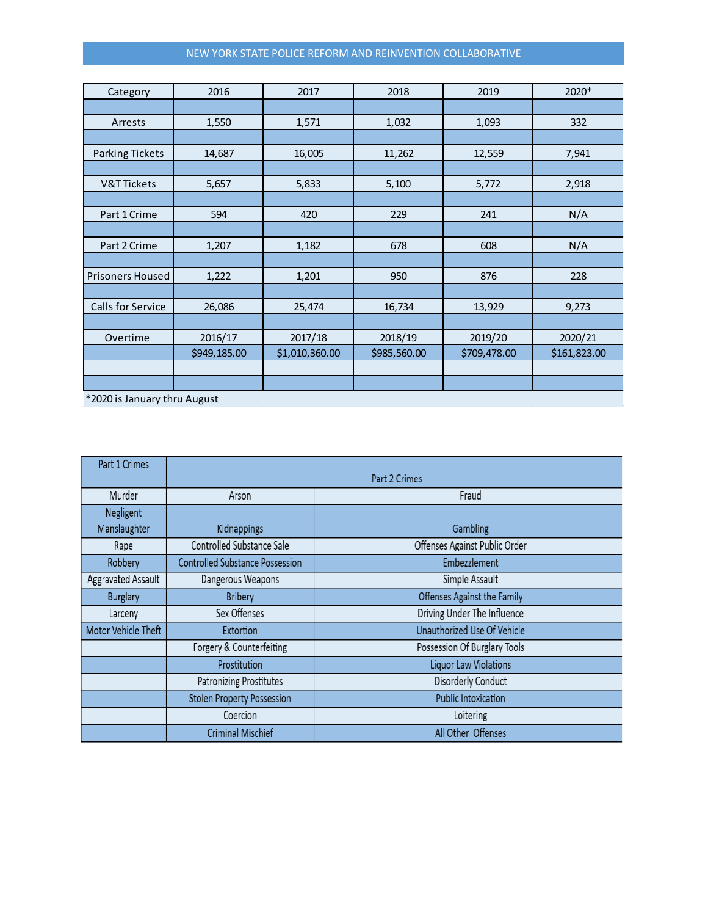#### NEW YORK STATE POLICE REFORM AND REINVENTION COLLABORATIVE

| Category                | 2016         | 2017           | 2018         | 2019         | 2020*        |
|-------------------------|--------------|----------------|--------------|--------------|--------------|
|                         |              |                |              |              |              |
| Arrests                 | 1,550        | 1,571          | 1,032        | 1,093        | 332          |
|                         |              |                |              |              |              |
| <b>Parking Tickets</b>  | 14,687       | 16,005         | 11,262       | 12,559       | 7,941        |
|                         |              |                |              |              |              |
| <b>V&amp;T Tickets</b>  | 5,657        | 5,833          | 5,100        | 5,772        | 2,918        |
|                         |              |                |              |              |              |
| Part 1 Crime            | 594          | 420            | 229          | 241          | N/A          |
|                         |              |                |              |              |              |
| Part 2 Crime            | 1,207        | 1,182          | 678          | 608          | N/A          |
|                         |              |                |              |              |              |
| <b>Prisoners Housed</b> | 1,222        | 1,201          | 950          | 876          | 228          |
|                         |              |                |              |              |              |
| Calls for Service       | 26,086       | 25,474         | 16,734       | 13,929       | 9,273        |
|                         |              |                |              |              |              |
| Overtime                | 2016/17      | 2017/18        | 2018/19      | 2019/20      | 2020/21      |
|                         | \$949,185.00 | \$1,010,360.00 | \$985,560.00 | \$709,478.00 | \$161,823.00 |
|                         |              |                |              |              |              |
|                         |              |                |              |              |              |

\*2020 is January thru August

| Part 1 Crimes       |                                        |                               |  |  |  |
|---------------------|----------------------------------------|-------------------------------|--|--|--|
|                     | Part 2 Crimes                          |                               |  |  |  |
| Murder              | Arson                                  | Fraud                         |  |  |  |
| Negligent           |                                        |                               |  |  |  |
| Manslaughter        | <b>Kidnappings</b>                     | Gambling                      |  |  |  |
| Rape                | Controlled Substance Sale              | Offenses Against Public Order |  |  |  |
| Robbery             | <b>Controlled Substance Possession</b> | Embezzlement                  |  |  |  |
| Aggravated Assault  | Dangerous Weapons                      | Simple Assault                |  |  |  |
| <b>Burglary</b>     | <b>Bribery</b>                         | Offenses Against the Family   |  |  |  |
| Larceny             | Sex Offenses                           | Driving Under The Influence   |  |  |  |
| Motor Vehicle Theft | Extortion                              | Unauthorized Use Of Vehicle   |  |  |  |
|                     | Forgery & Counterfeiting               | Possession Of Burglary Tools  |  |  |  |
|                     | Prostitution                           | <b>Liquor Law Violations</b>  |  |  |  |
|                     | <b>Patronizing Prostitutes</b>         | <b>Disorderly Conduct</b>     |  |  |  |
|                     | <b>Stolen Property Possession</b>      | <b>Public Intoxication</b>    |  |  |  |
|                     | Coercion                               | Loitering                     |  |  |  |
|                     | <b>Criminal Mischief</b>               | All Other Offenses            |  |  |  |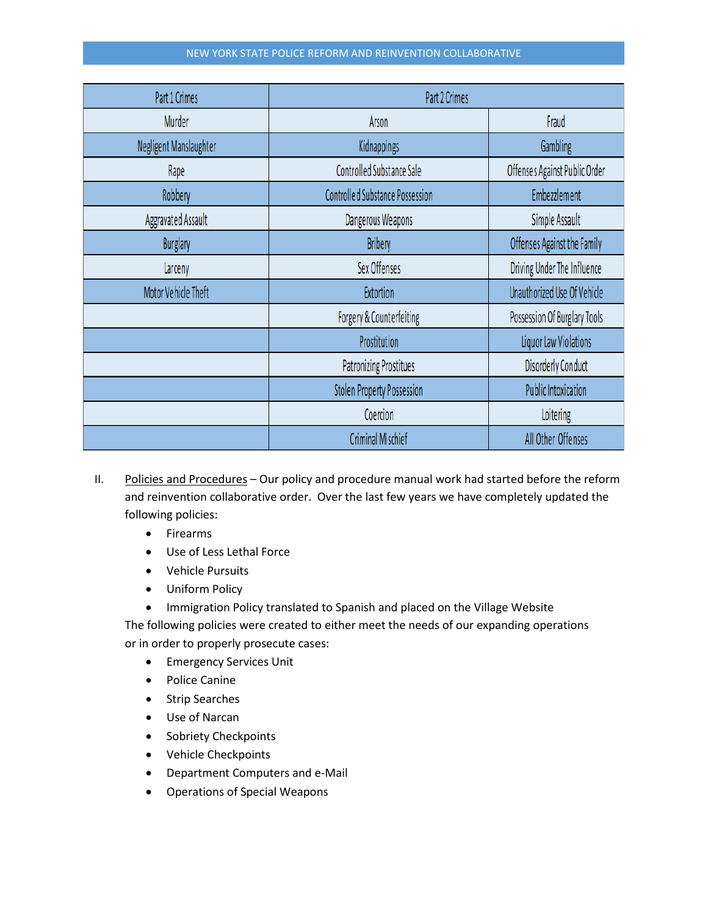#### NEW YORK STATE POLICE REFORM AND REINVENTION COLLABORATIVE

| Part 1 Crimes              | Part 2 Crimes                          |                               |  |
|----------------------------|----------------------------------------|-------------------------------|--|
| Murder                     | Arson                                  | Fraud                         |  |
| Negligent Manslaughter     | Kidnappings                            | Gambling                      |  |
| Rape                       | <b>Controlled Substance Sale</b>       | Offenses Against Public Order |  |
| Robbery                    | <b>Controlled Substance Possession</b> | Embezzlement                  |  |
| <b>Aggravated Assault</b>  | Dangerous Weapons                      | Simple Assault                |  |
| <b>Burglary</b>            | <b>Bribery</b>                         | Offenses Against the Family   |  |
| Larceny                    | Sex Offenses                           | Driving Under The Influence   |  |
| <b>Motor Vehicle Theft</b> | <b>Extortion</b>                       | Unauthorized Use Of Vehicle   |  |
|                            | Forgery & Counterfeiting               | Possession Of Burglary Tools  |  |
|                            | Prostitution                           | Liquor Law Violations         |  |
|                            | <b>Patronizing Prostitues</b>          | <b>Disorderly Conduct</b>     |  |
|                            | <b>Stolen Property Possession</b>      | <b>Public Intoxication</b>    |  |
|                            | Coercion                               | Loitering                     |  |
|                            | Criminal Mischief                      | All Other Offenses            |  |

- II. Policies and Procedures Our policy and procedure manual work had started before the reform and reinvention collaborative order. Over the last few years we have completely updated the following policies:
	- Firearms
	- Use of Less Lethal Force
	- Vehicle Pursuits
	- Uniform Policy
	- Immigration Policy translated to Spanish and placed on the Village Website

The following policies were created to either meet the needs of our expanding operations or in order to properly prosecute cases:

- Emergency Services Unit
- Police Canine
- Strip Searches
- Use of Narcan
- Sobriety Checkpoints
- Vehicle Checkpoints
- Department Computers and e-Mail
- Operations of Special Weapons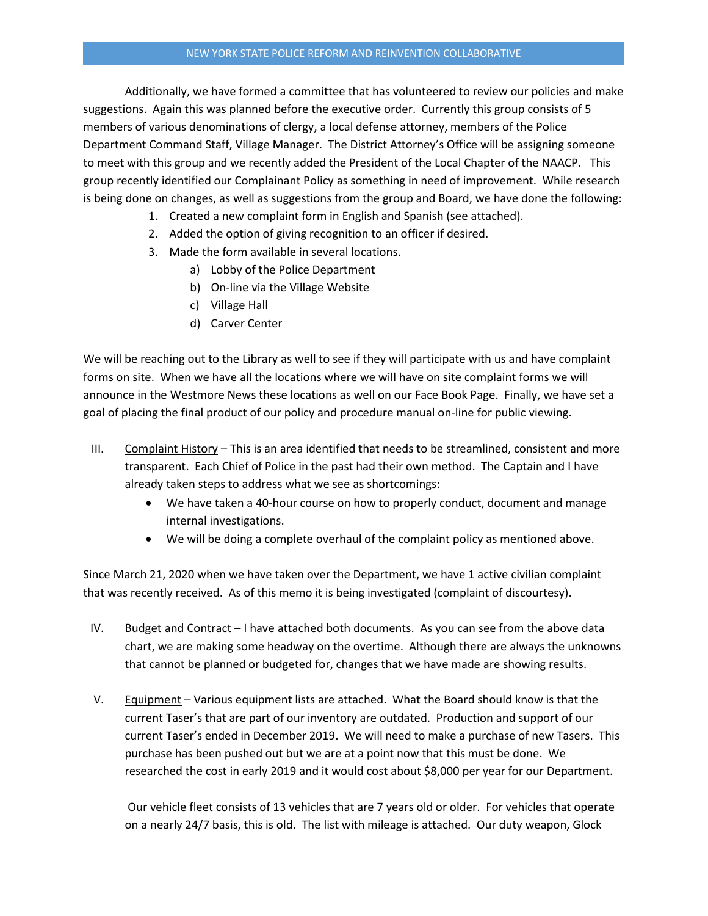Additionally, we have formed a committee that has volunteered to review our policies and make suggestions. Again this was planned before the executive order. Currently this group consists of 5 members of various denominations of clergy, a local defense attorney, members of the Police Department Command Staff, Village Manager. The District Attorney's Office will be assigning someone to meet with this group and we recently added the President of the Local Chapter of the NAACP. This group recently identified our Complainant Policy as something in need of improvement. While research is being done on changes, as well as suggestions from the group and Board, we have done the following:

- 1. Created a new complaint form in English and Spanish (see attached).
- 2. Added the option of giving recognition to an officer if desired.
- 3. Made the form available in several locations.
	- a) Lobby of the Police Department
	- b) On-line via the Village Website
	- c) Village Hall
	- d) Carver Center

We will be reaching out to the Library as well to see if they will participate with us and have complaint forms on site. When we have all the locations where we will have on site complaint forms we will announce in the Westmore News these locations as well on our Face Book Page. Finally, we have set a goal of placing the final product of our policy and procedure manual on-line for public viewing.

- III. Complaint History This is an area identified that needs to be streamlined, consistent and more transparent. Each Chief of Police in the past had their own method. The Captain and I have already taken steps to address what we see as shortcomings:
	- We have taken a 40-hour course on how to properly conduct, document and manage internal investigations.
	- We will be doing a complete overhaul of the complaint policy as mentioned above.

Since March 21, 2020 when we have taken over the Department, we have 1 active civilian complaint that was recently received. As of this memo it is being investigated (complaint of discourtesy).

- IV. Budget and Contract I have attached both documents. As you can see from the above data chart, we are making some headway on the overtime. Although there are always the unknowns that cannot be planned or budgeted for, changes that we have made are showing results.
- V. Equipment Various equipment lists are attached. What the Board should know is that the current Taser's that are part of our inventory are outdated. Production and support of our current Taser's ended in December 2019. We will need to make a purchase of new Tasers. This purchase has been pushed out but we are at a point now that this must be done. We researched the cost in early 2019 and it would cost about \$8,000 per year for our Department.

Our vehicle fleet consists of 13 vehicles that are 7 years old or older. For vehicles that operate on a nearly 24/7 basis, this is old. The list with mileage is attached. Our duty weapon, Glock